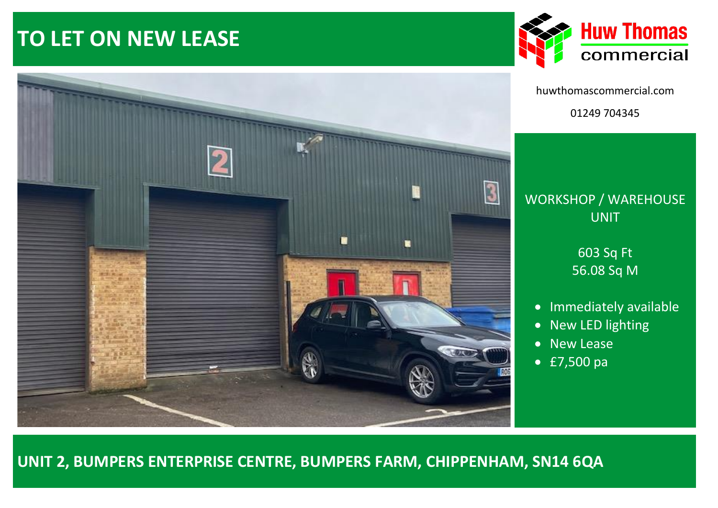# **TO LET ON NEW LEASE**





huwthomascommercial.com 01249 704345

# WORKSHOP / WAREHOUSE UNIT

603 Sq Ft 56.08 Sq M

- Immediately available
- New LED lighting
- New Lease
- £7,500 pa

# **UNIT 2, BUMPERS ENTERPRISE CENTRE, BUMPERS FARM, CHIPPENHAM, SN14 6QA**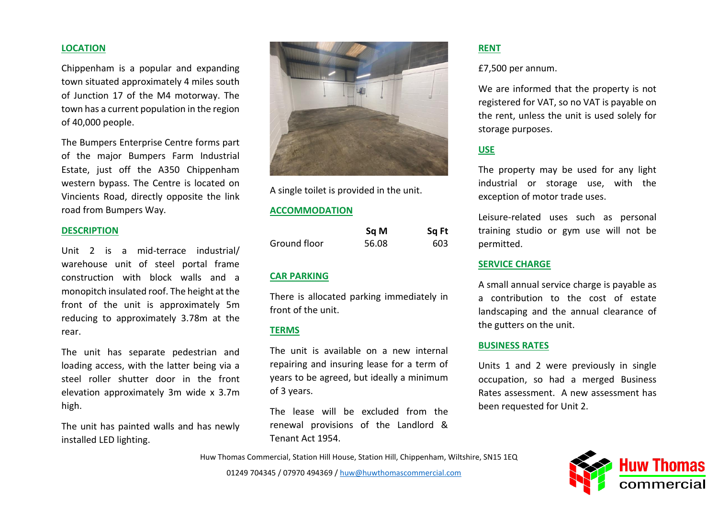#### **LOCATION**

Chippenham is a popular and expanding town situated approximately 4 miles south of Junction 17 of the M4 motorway. The town has a current population in the region of 40,000 people.

The Bumpers Enterprise Centre forms part of the major Bumpers Farm Industrial Estate, just off the A350 Chippenham western bypass. The Centre is located on Vincients Road, directly opposite the link road from Bumpers Way.

#### **DESCRIPTION**

Unit 2 is a mid-terrace industrial/ warehouse unit of steel portal frame construction with block walls and a monopitch insulated roof. The height at the front of the unit is approximately 5m reducing to approximately 3.78m at the rear.

The unit has separate pedestrian and loading access, with the latter being via a steel roller shutter door in the front elevation approximately 3m wide x 3.7m high.

The unit has painted walls and has newly installed LED lighting.



A single toilet is provided in the unit.

#### **ACCOMMODATION**

|              | Sq M  | Sq Ft |
|--------------|-------|-------|
| Ground floor | 56.08 | 603   |

### **CAR PARKING**

There is allocated parking immediately in front of the unit.

#### **TERMS**

The unit is available on a new internal repairing and insuring lease for a term of years to be agreed, but ideally a minimum of 3 years.

The lease will be excluded from the renewal provisions of the Landlord & Tenant Act 1954.

#### **RENT**

£7,500 per annum.

We are informed that the property is not registered for VAT, so no VAT is payable on the rent, unless the unit is used solely for storage purposes.

## **USE**

The property may be used for any light industrial or storage use, with the exception of motor trade uses.

Leisure-related uses such as personal training studio or gym use will not be permitted.

#### **SERVICE CHARGE**

A small annual service charge is payable as a contribution to the cost of estate landscaping and the annual clearance of the gutters on the unit.

#### **BUSINESS RATES**

Units 1 and 2 were previously in single occupation, so had a merged Business Rates assessment. A new assessment has been requested for Unit 2.

Huw Thomas Commercial, Station Hill House, Station Hill, Chippenham, Wiltshire, SN15 1EQ